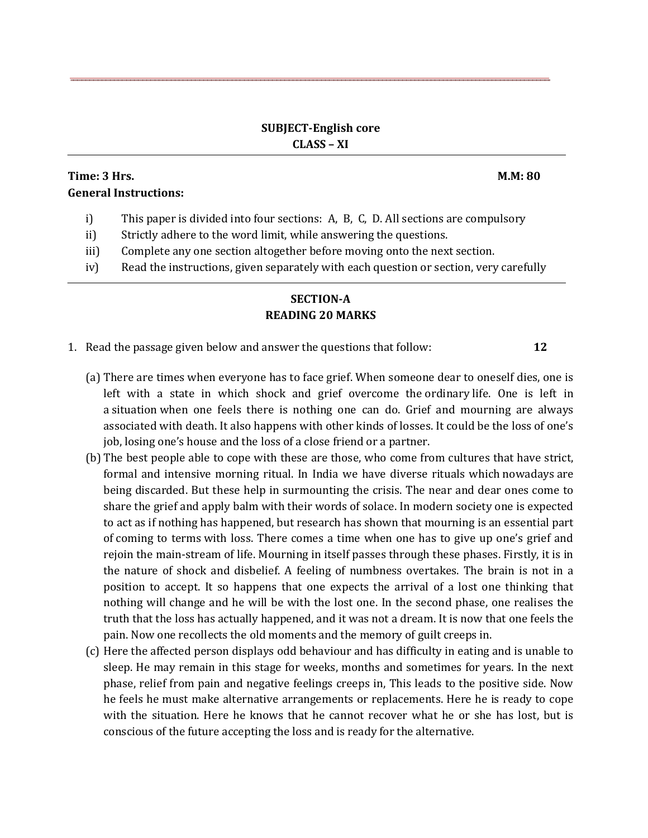### **SUBJECT-English core CLASS – XI**

# **Time: 3 Hrs. M.M: 80 General Instructions:**

- i) This paper is divided into four sections: A, B, C, D. All sections are compulsory
- ii) Strictly adhere to the word limit, while answering the questions.
- iii) Complete any one section altogether before moving onto the next section.
- iv) Read the instructions, given separately with each question or section, very carefully

# **SECTION-A READING 20 MARKS**

- 1. Read the passage given below and answer the questions that follow: **12**
	-
	- (a) There are times when everyone has to face grief. When someone dear to oneself dies, one is left with a state in which shock and grief overcome the ordinary life. One is left in a situation when one feels there is nothing one can do. Grief and mourning are always associated with death. It also happens with other kinds of losses. It could be the loss of one's job, losing one's house and the loss of a close friend or a partner.
	- (b) The best people able to cope with these are those, who come from cultures that have strict, formal and intensive morning ritual. In India we have diverse rituals which nowadays are being discarded. But these help in surmounting the crisis. The near and dear ones come to share the grief and apply balm with their words of solace. In modern society one is expected to act as if nothing has happened, but research has shown that mourning is an essential part of coming to terms with loss. There comes a time when one has to give up one's grief and rejoin the main-stream of life. Mourning in itself passes through these phases. Firstly, it is in the nature of shock and disbelief. A feeling of numbness overtakes. The brain is not in a position to accept. It so happens that one expects the arrival of a lost one thinking that nothing will change and he will be with the lost one. In the second phase, one realises the truth that the loss has actually happened, and it was not a dream. It is now that one feels the pain. Now one recollects the old moments and the memory of guilt creeps in.
	- (c) Here the affected person displays odd behaviour and has difficulty in eating and is unable to sleep. He may remain in this stage for weeks, months and sometimes for years. In the next phase, relief from pain and negative feelings creeps in, This leads to the positive side. Now he feels he must make alternative arrangements or replacements. Here he is ready to cope with the situation. Here he knows that he cannot recover what he or she has lost, but is conscious of the future accepting the loss and is ready for the alternative.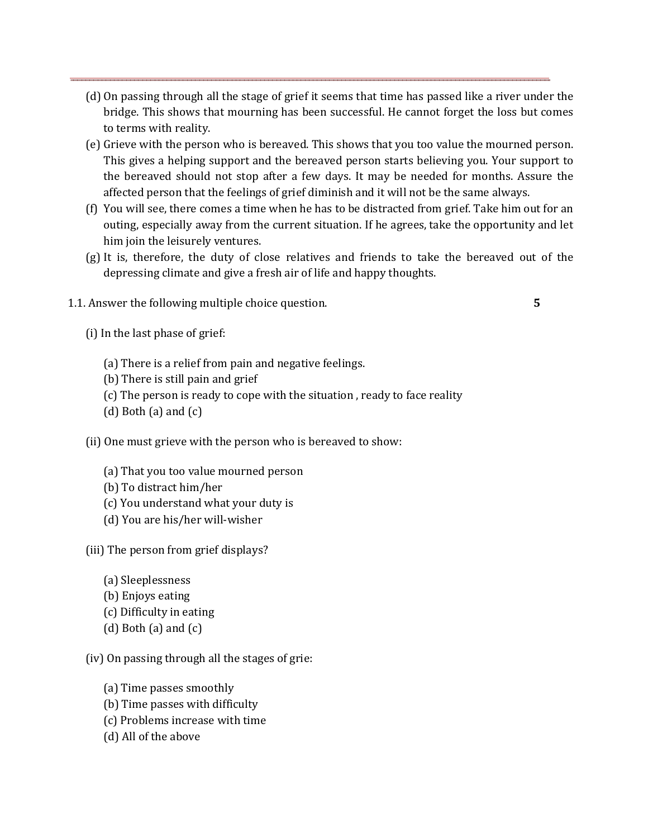- (d) On passing through all the stage of grief it seems that time has passed like a river under the bridge. This shows that mourning has been successful. He cannot forget the loss but comes to terms with reality.
- (e) Grieve with the person who is bereaved. This shows that you too value the mourned person. This gives a helping support and the bereaved person starts believing you. Your support to the bereaved should not stop after a few days. It may be needed for months. Assure the affected person that the feelings of grief diminish and it will not be the same always.
- (f) You will see, there comes a time when he has to be distracted from grief. Take him out for an outing, especially away from the current situation. If he agrees, take the opportunity and let him join the leisurely ventures.
- (g) It is, therefore, the duty of close relatives and friends to take the bereaved out of the depressing climate and give a fresh air of life and happy thoughts.
- 1.1. Answer the following multiple choice question. **5**

- (i) In the last phase of grief:
	- (a) There is a relief from pain and negative feelings.
	- (b) There is still pain and grief
	- (c) The person is ready to cope with the situation , ready to face reality
	- (d) Both (a) and  $(c)$
- (ii) One must grieve with the person who is bereaved to show:
	- (a) That you too value mourned person
	- (b) To distract him/her
	- (c) You understand what your duty is
	- (d) You are his/her will-wisher

(iii) The person from grief displays?

- (a) Sleeplessness
- (b) Enjoys eating
- (c) Difficulty in eating
- $(d)$  Both  $(a)$  and  $(c)$

(iv) On passing through all the stages of grie:

- (a) Time passes smoothly
- (b) Time passes with difficulty
- (c) Problems increase with time
- (d) All of the above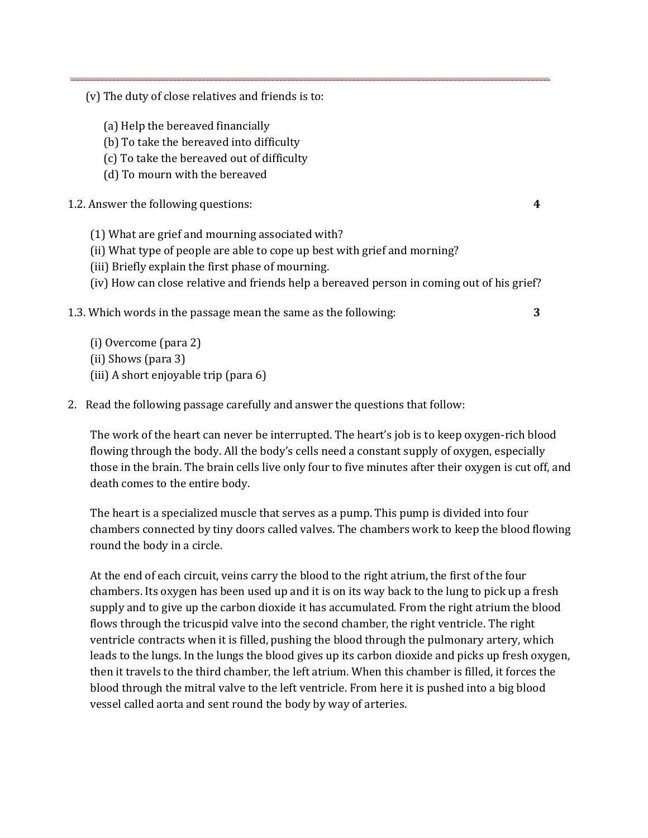(v) The duty of close relatives and friends is to:

- (a) Help the bereaved financially
- (b) To take the bereaved into difficulty
- (c) To take the bereaved out of difficulty
- (d) To mourn with the bereaved

1.2. Answer the following questions: **4** 

- (1) What are grief and mourning associated with?
- (ii) What type of people are able to cope up best with grief and morning?
- (iii) Briefly explain the first phase of mourning.
- (iv) How can close relative and friends help a bereaved person in coming out of his grief?
- 1.3. Which words in the passage mean the same as the following: **3**

(i) Overcome (para 2) (ii) Shows (para 3) (iii) A short enjoyable trip (para 6)

2. Read the following passage carefully and answer the questions that follow:

The work of the heart can never be interrupted. The heart's job is to keep oxygen-rich blood flowing through the body. All the body's cells need a constant supply of oxygen, especially those in the brain. The brain cells live only four to five minutes after their oxygen is cut off, and death comes to the entire body.

The heart is a specialized muscle that serves as a pump. This pump is divided into four chambers connected by tiny doors called valves. The chambers work to keep the blood flowing round the body in a circle.

At the end of each circuit, veins carry the blood to the right atrium, the first of the four chambers. Its oxygen has been used up and it is on its way back to the lung to pick up a fresh supply and to give up the carbon dioxide it has accumulated. From the right atrium the blood flows through the tricuspid valve into the second chamber, the right ventricle. The right ventricle contracts when it is filled, pushing the blood through the pulmonary artery, which leads to the lungs. In the lungs the blood gives up its carbon dioxide and picks up fresh oxygen, then it travels to the third chamber, the left atrium. When this chamber is filled, it forces the blood through the mitral valve to the left ventricle. From here it is pushed into a big blood vessel called aorta and sent round the body by way of arteries.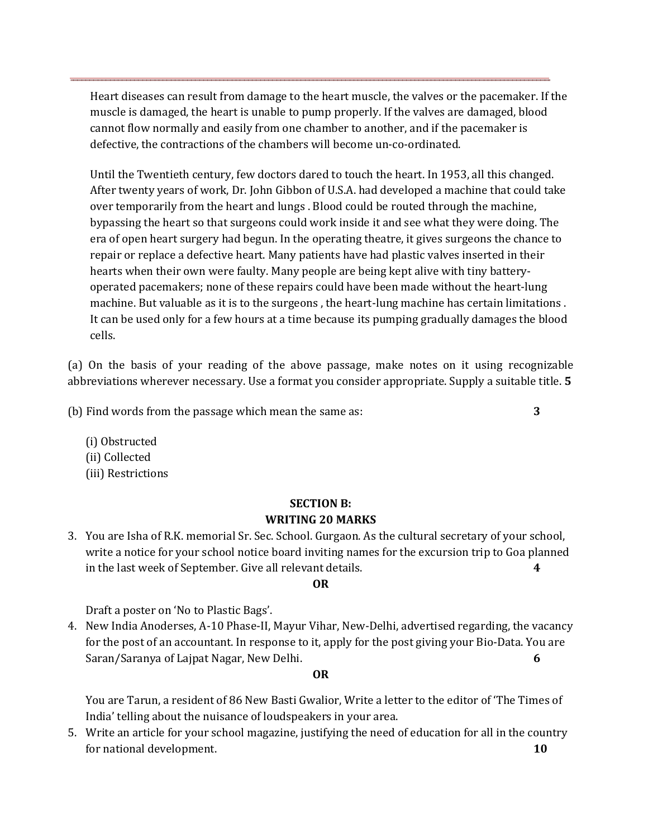Heart diseases can result from damage to the heart muscle, the valves or the pacemaker. If the muscle is damaged, the heart is unable to pump properly. If the valves are damaged, blood cannot flow normally and easily from one chamber to another, and if the pacemaker is defective, the contractions of the chambers will become un-co-ordinated.

Until the Twentieth century, few doctors dared to touch the heart. In 1953, all this changed. After twenty years of work, Dr. John Gibbon of U.S.A. had developed a machine that could take over temporarily from the heart and lungs . Blood could be routed through the machine, bypassing the heart so that surgeons could work inside it and see what they were doing. The era of open heart surgery had begun. In the operating theatre, it gives surgeons the chance to repair or replace a defective heart. Many patients have had plastic valves inserted in their hearts when their own were faulty. Many people are being kept alive with tiny batteryoperated pacemakers; none of these repairs could have been made without the heart-lung machine. But valuable as it is to the surgeons , the heart-lung machine has certain limitations . It can be used only for a few hours at a time because its pumping gradually damages the blood cells.

(a) On the basis of your reading of the above passage, make notes on it using recognizable abbreviations wherever necessary. Use a format you consider appropriate. Supply a suitable title. **5** 

(b) Find words from the passage which mean the same as: **3** 

(i) Obstructed (ii) Collected (iii) Restrictions

## **SECTION B: WRITING 20 MARKS**

3. You are Isha of R.K. memorial Sr. Sec. School. Gurgaon. As the cultural secretary of your school, write a notice for your school notice board inviting names for the excursion trip to Goa planned in the last week of September. Give all relevant details. **4** 

## **OR**

Draft a poster on 'No to Plastic Bags'.

4. New India Anoderses, A-10 Phase-II, Mayur Vihar, New-Delhi, advertised regarding, the vacancy for the post of an accountant. In response to it, apply for the post giving your Bio-Data. You are Saran/Saranya of Lajpat Nagar, New Delhi. **6** 

#### **OR**

You are Tarun, a resident of 86 New Basti Gwalior, Write a letter to the editor of 'The Times of India' telling about the nuisance of loudspeakers in your area.

5. Write an article for your school magazine, justifying the need of education for all in the country for national development. **10**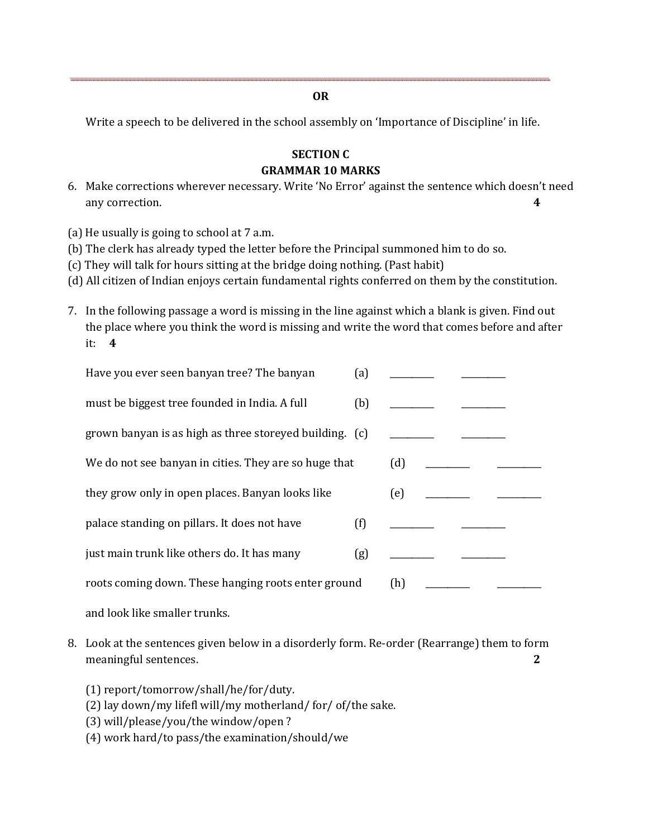**OR** 

Write a speech to be delivered in the school assembly on 'Importance of Discipline' in life.

# **SECTION C GRAMMAR 10 MARKS**

6. Make corrections wherever necessary. Write 'No Error' against the sentence which doesn't need any correction. **4** 

(a) He usually is going to school at 7 a.m.

- (b) The clerk has already typed the letter before the Principal summoned him to do so.
- (c) They will talk for hours sitting at the bridge doing nothing. (Past habit)
- (d) All citizen of Indian enjoys certain fundamental rights conferred on them by the constitution.
- 7. In the following passage a word is missing in the line against which a blank is given. Find out the place where you think the word is missing and write the word that comes before and after it: **4**

| Have you ever seen banyan tree? The banyan              | (a) |     |  |  |
|---------------------------------------------------------|-----|-----|--|--|
| must be biggest tree founded in India. A full           | (b) |     |  |  |
| grown banyan is as high as three storeyed building. (c) |     |     |  |  |
| We do not see banyan in cities. They are so huge that   |     | (d) |  |  |
| they grow only in open places. Banyan looks like        |     | (e) |  |  |
| palace standing on pillars. It does not have            | (f) |     |  |  |
| just main trunk like others do. It has many             | (g) |     |  |  |
| roots coming down. These hanging roots enter ground     |     | (h) |  |  |
|                                                         |     |     |  |  |

and look like smaller trunks.

- 8. Look at the sentences given below in a disorderly form. Re-order (Rearrange) them to form meaningful sentences. **2** 
	- (1) report/tomorrow/shall/he/for/duty.
	- (2) lay down/my lifefl will/my motherland/ for/ of/the sake.
	- (3) will/please/you/the window/open ?
	- (4) work hard/to pass/the examination/should/we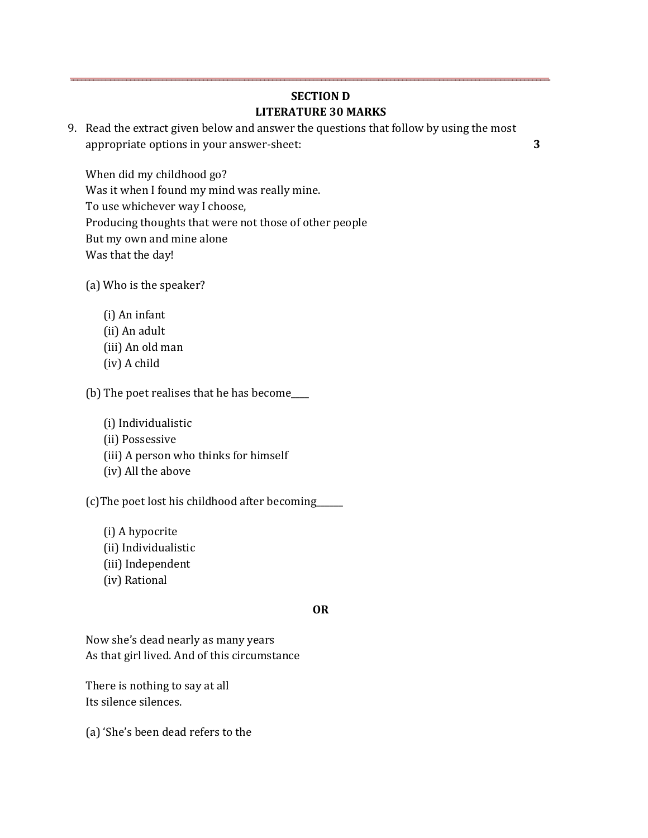# **SECTION D LITERATURE 30 MARKS**

9. Read the extract given below and answer the questions that follow by using the most appropriate options in your answer-sheet: **3** 

When did my childhood go? Was it when I found my mind was really mine. To use whichever way I choose, Producing thoughts that were not those of other people But my own and mine alone Was that the day!

- (a) Who is the speaker?
	- (i) An infant (ii) An adult (iii) An old man (iv) A child

(b) The poet realises that he has become\_\_\_\_

(i) Individualistic (ii) Possessive (iii) A person who thinks for himself (iv) All the above

(c)The poet lost his childhood after becoming\_\_\_\_\_\_

- (i) A hypocrite (ii) Individualistic
- (iii) Independent
- (iv) Rational

#### **OR**

Now she's dead nearly as many years As that girl lived. And of this circumstance

There is nothing to say at all Its silence silences.

(a) 'She's been dead refers to the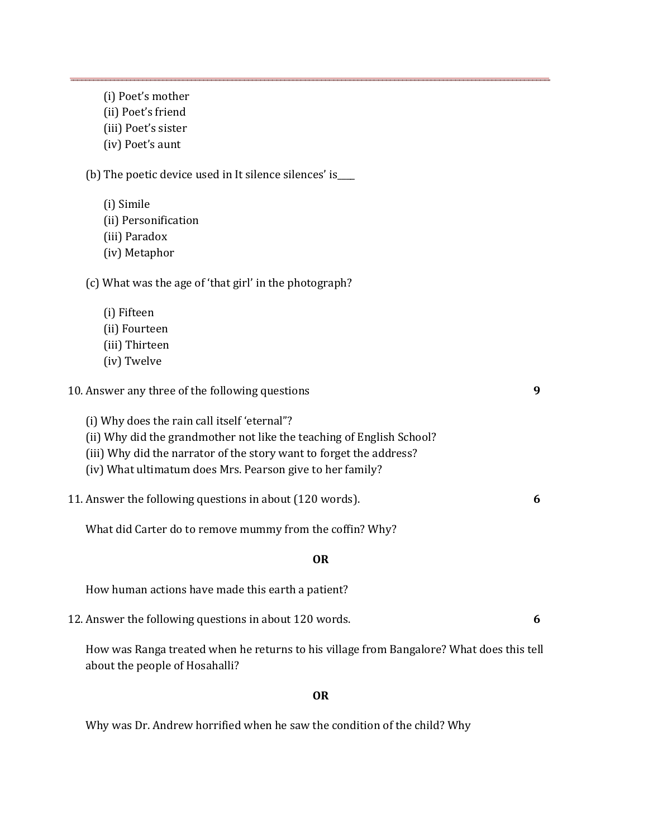- (ii) Poet's friend
- (iii) Poet's sister
- (iv) Poet's aunt

(b) The poetic device used in It silence silences' is\_\_\_\_

- (i) Simile
- (ii) Personification
- (iii) Paradox
- (iv) Metaphor

(c) What was the age of 'that girl' in the photograph?

- (i) Fifteen
- (ii) Fourteen
- (iii) Thirteen
- (iv) Twelve

| 10. Answer any three of the following questions |  |
|-------------------------------------------------|--|
|-------------------------------------------------|--|

- (i) Why does the rain call itself 'eternal"?
- (ii) Why did the grandmother not like the teaching of English School?
- (iii) Why did the narrator of the story want to forget the address?
- (iv) What ultimatum does Mrs. Pearson give to her family?
- 11. Answer the following questions in about (120 words). **6**

What did Carter do to remove mummy from the coffin? Why?

## **OR**

How human actions have made this earth a patient?

12. Answer the following questions in about 120 words. **6** 

How was Ranga treated when he returns to his village from Bangalore? What does this tell about the people of Hosahalli?

## **OR**

Why was Dr. Andrew horrified when he saw the condition of the child? Why